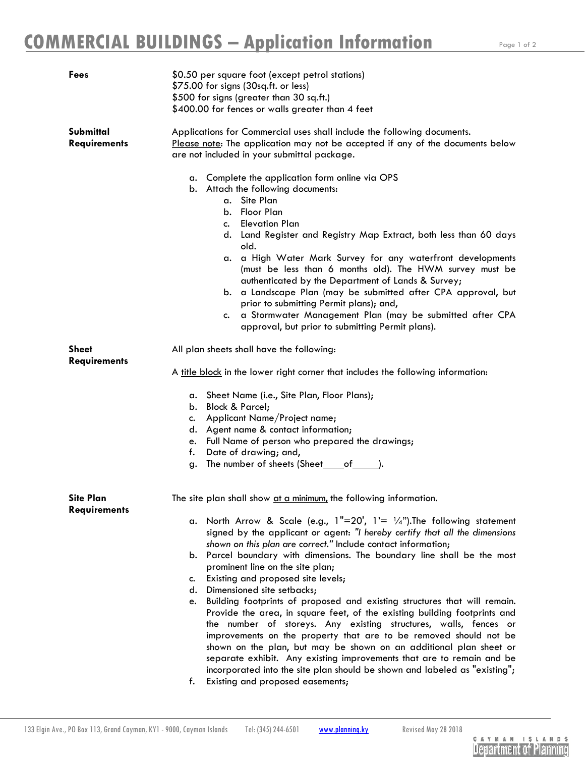| Fees                                    | \$0.50 per square foot (except petrol stations)<br>\$75.00 for signs (30sq.ft. or less)<br>\$500 for signs (greater than 30 sq.ft.)<br>\$400.00 for fences or walls greater than 4 feet                                                                                                                                                                                                                                                                                                                                                                                                                                                                                                                                                                                                                                                                                                                                                                                                                                                                                        |
|-----------------------------------------|--------------------------------------------------------------------------------------------------------------------------------------------------------------------------------------------------------------------------------------------------------------------------------------------------------------------------------------------------------------------------------------------------------------------------------------------------------------------------------------------------------------------------------------------------------------------------------------------------------------------------------------------------------------------------------------------------------------------------------------------------------------------------------------------------------------------------------------------------------------------------------------------------------------------------------------------------------------------------------------------------------------------------------------------------------------------------------|
| Submittal<br><b>Requirements</b>        | Applications for Commercial uses shall include the following documents.<br>Please note: The application may not be accepted if any of the documents below<br>are not included in your submittal package.<br>a. Complete the application form online via OPS<br>b. Attach the following documents:<br>a. Site Plan<br>Floor Plan<br>b.<br>c. Elevation Plan<br>d. Land Register and Registry Map Extract, both less than 60 days<br>old.<br>a. a High Water Mark Survey for any waterfront developments<br>(must be less than 6 months old). The HWM survey must be<br>authenticated by the Department of Lands & Survey;<br>b. a Landscape Plan (may be submitted after CPA approval, but<br>prior to submitting Permit plans); and,<br>a Stormwater Management Plan (may be submitted after CPA<br>c.<br>approval, but prior to submitting Permit plans).                                                                                                                                                                                                                     |
| <b>Sheet</b><br><b>Requirements</b>     | All plan sheets shall have the following:<br>A title block in the lower right corner that includes the following information:<br>a. Sheet Name (i.e., Site Plan, Floor Plans);<br>b. Block & Parcel;<br>Applicant Name/Project name;<br>c.<br>d. Agent name & contact information;<br>e. Full Name of person who prepared the drawings;<br>Date of drawing; and,<br>f.<br>The number of sheets (Sheet____of______).<br>g.                                                                                                                                                                                                                                                                                                                                                                                                                                                                                                                                                                                                                                                      |
| <b>Site Plan</b><br><b>Requirements</b> | The site plan shall show at a minimum, the following information.<br>a. North Arrow & Scale (e.g., $1"=20'$ , $1'=1/4"$ ). The following statement<br>signed by the applicant or agent: "I hereby certify that all the dimensions<br>shown on this plan are correct." Include contact information;<br>b. Parcel boundary with dimensions. The boundary line shall be the most<br>prominent line on the site plan;<br>Existing and proposed site levels;<br>c.<br>d. Dimensioned site setbacks;<br>Building footprints of proposed and existing structures that will remain.<br>e.<br>Provide the area, in square feet, of the existing building footprints and<br>the number of storeys. Any existing structures, walls, fences or<br>improvements on the property that are to be removed should not be<br>shown on the plan, but may be shown on an additional plan sheet or<br>separate exhibit. Any existing improvements that are to remain and be<br>incorporated into the site plan should be shown and labeled as "existing";<br>Existing and proposed easements;<br>f. |